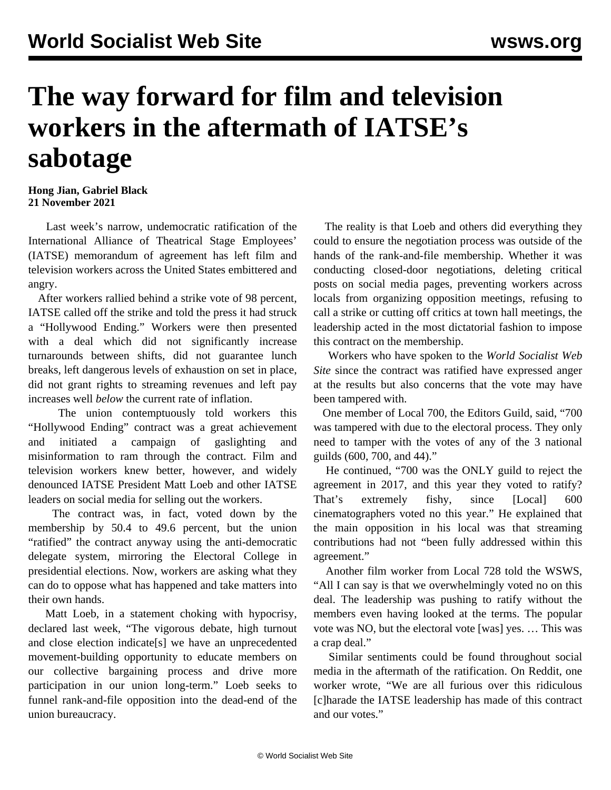## **The way forward for film and television workers in the aftermath of IATSE's sabotage**

## **Hong Jian, Gabriel Black 21 November 2021**

 Last week's narrow, undemocratic [ratification](/en/articles/2021/11/16/iats-n16.html) of the International Alliance of Theatrical Stage Employees' (IATSE) memorandum of agreement has left film and television workers across the United States embittered and angry.

 After workers rallied behind a strike vote of 98 percent, IATSE called off the strike and told the press it had struck a "Hollywood Ending." Workers were then presented with a [deal](/en/articles/2021/11/06/iats-n06.html) which did not significantly increase turnarounds between shifts, did not guarantee lunch breaks, left dangerous levels of exhaustion on set in place, did not grant rights to streaming revenues and left pay increases well *below* the current rate of inflation.

 The union contemptuously told workers this "Hollywood Ending" contract was a great achievement and initiated a campaign of gaslighting and misinformation to ram through the contract. Film and television workers knew better, however, and widely denounced IATSE President Matt Loeb and other IATSE leaders on social media for selling out the workers.

 The contract was, in fact, voted down by the membership by 50.4 to 49.6 percent, but the union "ratified" the contract anyway using the anti-democratic delegate system, mirroring the Electoral College in presidential elections. Now, workers are asking what they can do to oppose what has happened and take matters into their own hands.

 Matt Loeb, in a statement choking with hypocrisy, declared last week, "The vigorous debate, high turnout and close election indicate[s] we have an unprecedented movement-building opportunity to educate members on our collective bargaining process and drive more participation in our union long-term." Loeb seeks to funnel rank-and-file opposition into the dead-end of the union bureaucracy.

 The reality is that Loeb and others did everything they could to ensure the negotiation process was outside of the hands of the rank-and-file membership. Whether it was conducting closed-door negotiations, deleting critical posts on social media pages, preventing workers across locals from organizing opposition meetings, refusing to call a strike or cutting off critics at town hall meetings, the leadership acted in the most dictatorial fashion to impose this contract on the membership.

 Workers who have spoken to the *World Socialist Web Site* since the contract was ratified have expressed anger at the results but also concerns that the vote may have been tampered with.

 One member of Local 700, the Editors Guild, said, "700 was tampered with due to the electoral process. They only need to tamper with the votes of any of the 3 national guilds (600, 700, and 44)."

 He continued, "700 was the ONLY guild to reject the agreement in 2017, and this year they voted to ratify? That's extremely fishy, since [Local] 600 cinematographers voted no this year." He explained that the main opposition in his local was that streaming contributions had not "been fully addressed within this agreement."

 Another film worker from Local 728 told the WSWS, "All I can say is that we overwhelmingly voted no on this deal. The leadership was pushing to ratify without the members even having looked at the terms. The popular vote was NO, but the electoral vote [was] yes. … This was a crap deal."

 Similar sentiments could be found throughout social media in the aftermath of the ratification. On Reddit, one worker wrote, "We are all furious over this ridiculous [c]harade the IATSE leadership has made of this contract and our votes."